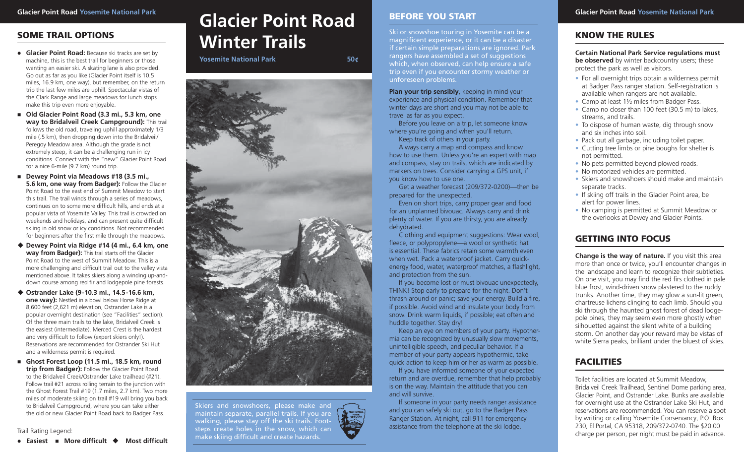# **SOME TRAIL OPTIONS**

- **Glacier Point Road:** Because ski tracks are set by machine, this is the best trail for beginners or those wanting an easier ski. A skating lane is also provided. Go out as far as you like (Glacier Point itself is 10.5 miles, 16.9 km, one way), but remember, on the return trip the last few miles are uphill. Spectacular vistas of the Clark Range and large meadows for lunch stops make this trip even more enjoyable.
- Old Glacier Point Road (3.3 mi., 5.3 km, one **way to Bridalveil Creek Campground):** This trail follows the old road, traveling uphill approximately 1/3 mile (.5 km), then dropping down into the Bridalveil/ Peregoy Meadow area. Although the grade is not extremely steep, it can be a challenging run in icy conditions. Connect with the "new" Glacier Point Road for a nice 6-mile (9.7 km) round trip.
- Dewey Point via Meadows #18 (3.5 mi., **5.6 km, one way from Badger):** Follow the Glacier Point Road to the east end of Summit Meadow to start this trail. The trail winds through a series of meadows, continues on to some more difficult hills, and ends at a popular vista of Yosemite Valley. This trail is crowded on weekends and holidays, and can present quite difficult skiing in old snow or icy conditions. Not recommended for beginners after the first mile through the meadows.
- **Dewey Point via Ridge #14 (4 mi., 6.4 km, one way from Badger):** This trail starts off the Glacier Point Road to the west of Summit Meadow. This is a more challenging and difficult trail out to the valley vista mentioned above. It takes skiers along a winding up-anddown course among red fir and lodgepole pine forests.
- ◆ Ostrander Lake (9-10.3 mi., 14.5-16.6 km, **one way):** Nestled in a bowl below Horse Ridge at 8,600 feet (2,621 m) elevation, Ostrander Lake is a popular overnight destination (see "Facilities" section). Of the three main trails to the lake, Bridalveil Creek is the easiest (intermediate). Merced Crest is the hardest and very difficult to follow (expert skiers only!). Reservations are recommended for Ostrander Ski Hut and a wilderness permit is required.
- **Ghost Forest Loop (11.5 mi., 18.5 km, round trip from Badger):** Follow the Glacier Point Road to the Bridalveil Creek/Ostrander Lake trailhead (#21). Follow trail #21 across rolling terrain to the junction with the Ghost Forest Trail #19 (1.7 miles, 2.7 km). Two more miles of moderate skiing on trail #19 will bring you back to Bridalveil Campground, where you can take either the old or new Glacier Point Road back to Badger Pass.

Trail Rating Legend:

#### ● Easiest **■** More difficult ◆ Most difficult

# **Glacier Point Road** BEFORE YOU START Slacier Point Road Yosemite National Park Reserved Application Park Reserved Application Park Reserved Application Park **Winter Trails**

**Yosemite National Park 50¢** 



Skiers and snowshoers, please make and maintain separate, parallel trails. If you are walking, please stay off the ski trails. Footsteps create holes in the snow, which can make skiing difficult and create hazards.

#### **BEFORE YOU START**

Ski or snowshoe touring in Yosemite can be a magnificent experience, or it can be a disaster if certain simple preparations are ignored. Park rangers have assembled a set of suggestions which, when observed, can help ensure a safe trip even if you encounter stormy weather or unforeseen problems.

**Plan your trip sensibly**, keeping in mind your experience and physical condition. Remember that winter days are short and you may not be able to travel as far as you expect.

 Before you leave on a trip, let someone know where you're going and when you'll return.

Keep track of others in your party.

 Always carry a map and compass and know how to use them. Unless you're an expert with map and compass, stay on trails, which are indicated by markers on trees. Consider carrying a GPS unit, if you know how to use one.

 Get a weather forecast (209/372-0200)—then be prepared for the unexpected.

 Even on short trips, carry proper gear and food for an unplanned bivouac. Always carry and drink plenty of water. If you are thirsty, you are already dehydrated.

 Clothing and equipment suggestions: Wear wool, fleece, or polypropylene—a wool or synthetic hat is essential. These fabrics retain some warmth even when wet. Pack a waterproof jacket. Carry quickenergy food, water, waterproof matches, a flashlight, and protection from the sun.

If you become lost or must bivouac unexpectedly, THINK! Stop early to prepare for the night. Don't thrash around or panic; save your energy. Build a fire, if possible. Avoid wind and insulate your body from snow. Drink warm liquids, if possible; eat often and huddle together. Stay dry!

 Keep an eye on members of your party. Hypothermia can be recognized by unusually slow movements, unintelligible speech, and peculiar behavior. If a member of your party appears hypothermic, take quick action to keep him or her as warm as possible.

 If you have informed someone of your expected return and are overdue, remember that help probably is on the way. Maintain the attitude that you can and will survive.

If someone in your party needs ranger assistance and you can safely ski out, go to the Badger Pass Ranger Station. At night, call 911 for emergency assistance from the telephone at the ski lodge.

#### **KNOW THE RULES**

**Certain National Park Service regulations must be observed** by winter backcountry users; these protect the park as well as visitors.

- For all overnight trips obtain a wilderness permit at Badger Pass ranger station. Self-registration is available when rangers are not available.
- Camp at least 11/2 miles from Badger Pass.
- Camp no closer than 100 feet (30.5 m) to lakes, streams, and trails.
- To dispose of human waste, dig through snow and six inches into soil.
- Pack out all garbage, including toilet paper.
- Cutting tree limbs or pine boughs for shelter is not permitted.
- No pets permitted beyond plowed roads.
- No motorized vehicles are permitted.
- Skiers and snowshoers should make and maintain separate tracks.
- If skiing off trails in the Glacier Point area, be alert for power lines.
- No camping is permitted at Summit Meadow or the overlooks at Dewey and Glacier Points.

# **GETTING INTO FOCUS**

**Change is the way of nature.** If you visit this area more than once or twice, you'll encounter changes in the landscape and learn to recognize their subtleties. On one visit, you may find the red firs clothed in pale blue frost, wind-driven snow plastered to the ruddy trunks. Another time, they may glow a sun-lit green, chartreuse lichens clinging to each limb. Should you ski through the haunted ghost forest of dead lodgepole pines, they may seem even more ghostly when silhouetted against the silent white of a building storm. On another day your reward may be vistas of white Sierra peaks, brilliant under the bluest of skies.

### **FACILITIES**

Toilet facilities are located at Summit Meadow, Bridalveil Creek Trailhead, Sentinel Dome parking area, Glacier Point, and Ostrander Lake. Bunks are available for overnight use at the Ostrander Lake Ski Hut, and reservations are recommended. You can reserve a spot by writing or calling Yosemite Conservancy, P.O. Box 230, El Portal, CA 95318, 209/372-0740. The \$20.00 charge per person, per night must be paid in advance.